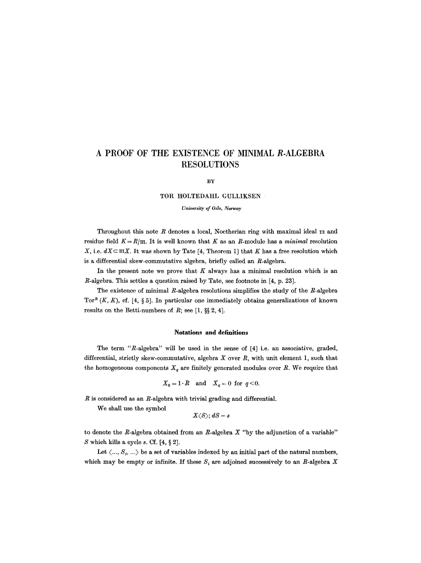# **A PROOF OF THE EXISTENCE OF MINIMAL R-ALGEBRA RESOLUTIONS**

#### BY

#### TOR HOLTEDAHL GULLIKSEN

### *University of Oslo, Norway*

Throughout this note  $R$  denotes a local, Noetherian ring with maximal ideal  $m$  and residue field  $K = R/m$ . It is well known that K as an R-module has a *minimal* resolution X, i.e.  $dX \subset \mathfrak{m}X$ . It was shown by Tate [4, Theorem 1] that K has a free resolution which is a differential skew-commutative algebra, briefly called an R-algebra.

In the present note we prove that  $K$  always has a minimal resolution which is an R-algebra. This settles a question raised by Tate, see footnote in [4, p. 23].

The existence of minimal R-algebra resolutions simplifies the study of the  $R$ -algebra Tor<sup>R</sup>  $(K, K)$ , cf. [4, § 5]. In particular one immediately obtains generalizations of known results on the Betti-numbers of  $R$ ; see [1, §§ 2, 4].

#### **Notations and definitions**

The term *"R-algebra"* will be used in the sense of [4] i.e. an associative, graded, differential, strictly skew-commutative, algebra  $X$  over  $R$ , with unit element 1, such that the homogeneous components  $X_q$  are finitely generated modules over  $R$ . We require that

$$
X_0 = 1 \cdot R \quad \text{and} \quad X_q = 0 \text{ for } q < 0.
$$

 $R$  is considered as an  $R$ -algebra with trivial grading and differential.

We shall use the symbol

$$
X\langle S\rangle; \, dS=s
$$

to denote the R-algebra obtained from an R-algebra *X "by* the adjunetion of a variable" S which kills a cycle  $s$ . Cf.  $[4, §2]$ .

Let  $\langle \ldots, S_i, \ldots \rangle$  be a set of variables indexed by an initial part of the natural numbers, which may be empty or infinite. If these  $S_i$  are adjoined successively to an R-algebra X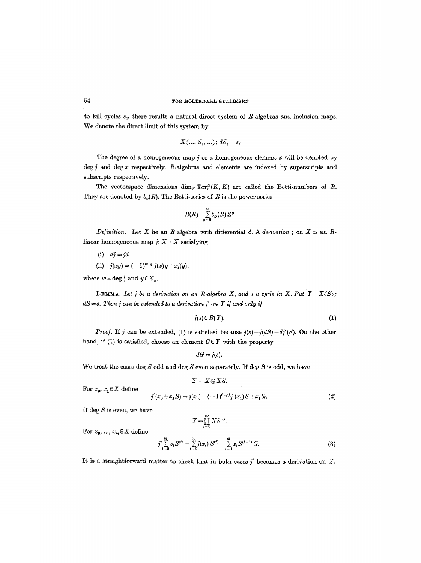## 54 TOR HOLTEDAHL GULLIKSEN

to kill cycles  $s_i$ , there results a natural direct system of R-algebras and inclusion maps. We denote the direct limit of this system by

$$
X\langle ..., S_i, ... \rangle; dS_i = s_i
$$

The degree of a homogeneous map  $\dot{\gamma}$  or a homogeneous element x will be denoted by deg  $j$  and deg  $x$  respectively.  $R$ -algebras and elements are indexed by superscripts and subscripts respectively.

The vectorspace dimensions  $\dim_K \operatorname{Tor}_p^R(K, K)$  are called the Betti-numbers of R. They are denoted by  $b_p(R)$ . The Betti-series of R is the power series

$$
B(R)=\sum_{p=0}^\infty b_p(R)\,Z^p
$$

*Definition.* Let X be an R-algebra with differential d. A derivation j on X is an Rlinear homogeneous map  $j: X \rightarrow X$  satisfying

- (i) *dj = jd*
- (ii)  $j(xy) = (-1)^{w \cdot q} j(x)y + xj(y),$

where  $w = \deg j$  and  $y \in X_a$ .

**LEMMA.** Let *j* be a derivation on an R-algebra X, and s a cycle in X. Put  $Y = X \langle S \rangle$ ;  $dS = s$ . Then *j* can be extended to a derivation *j'* on *Y* if and only if

$$
j(s) \in B(Y). \tag{1}
$$

*Proof.* If j can be extended, (1) is satisfied because  $j(s) = j(dS) = d\overline{j}'(S)$ . On the other hand, if (1) is satisfied, choose an element  $G \in Y$  with the property

$$
dG=j(s).
$$

We treat the cases deg  $S$  odd and deg  $S$  even separately. If deg  $S$  is odd, we have

$$
Y=X\oplus XS.
$$

For  $x_0, x_1 \in X$  define

$$
j'(x_0 + x_1 S) = j(x_0) + (-1)^{\deg j} j(x_1) S + x_1 G.
$$
 (2)

If deg  $S$  is even, we have

For  $x_0, \ldots, x_m \in X$  define

$$
Y = \coprod_{i=0}^{\infty} X S^{(i)}.
$$
  

$$
j' \sum_{i=0}^{m} x_i S^{(i)} = \sum_{i=0}^{m} j(x_i) S^{(i)} + \sum_{i=1}^{m} x_i S^{(i-1)} G.
$$
 (3)

It is a straightforward matter to check that in both cases  $j'$  becomes a derivation on Y.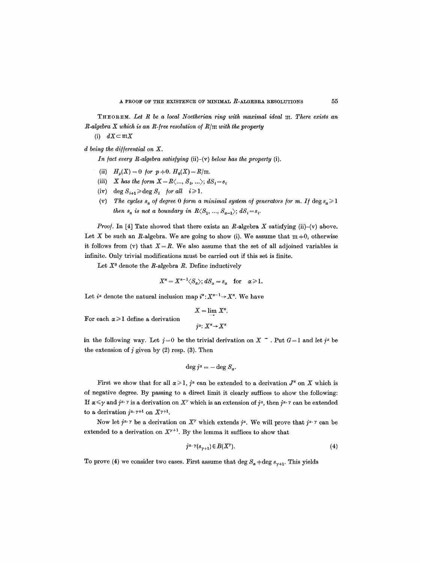THEOREM. Let R be a local Noetherian ring with maximal ideal m. There exists an *R-algebra X which is an R-/ree resolution o/R/ilt with the property* 

(i)  $dX \subset \mathfrak{m}X$ 

*d being the differential on X.* 

*In fact every R-algebra satisfying* (ii)-(v) *below has the property* (i).

- (ii)  $H_p(X) = 0$  for  $p \neq 0$ .  $H_0(X) = R/\mathfrak{m}$ .
- (iii) *X* has the form  $X = R \langle ..., S_i, ... \rangle; dS_i = s_i$
- (iv) deg  $S_{i+1} \ge \deg S_i$  *for all*  $i \ge 1$ .
- (v) *The cycles s<sub>a</sub> of degree 0 form a minimal system of generators for m. If*  $\deg s_{\alpha} \geq 1$ *then*  $s_a$  *is not a boundary in*  $R\langle S_1, ..., S_{a-1}\rangle$ ;  $dS_i = s_i$ .

*Proof.* In [4] Tate showed that there exists an R-algebra X satisfying (ii)- $(v)$  above. Let X be such an R-algebra. We are going to show (i). We assume that  $m +0$ , otherwise it follows from  $(v)$  that  $X = R$ . We also assume that the set of all adjoined variables is infinite. Only trivial modifications must be carried out if this set is finite.

Let  $X^0$  denote the R-algebra R. Define inductively

$$
X^{\alpha}=X^{\alpha-1}\langle S_{\alpha}\rangle; \, dS_{\alpha}=s_{\alpha} \quad \text{for} \quad \alpha\geqslant 1.
$$

Let  $i^{\alpha}$  denote the natural inclusion map  $i^{\alpha}: X^{\alpha-1} \to X^{\alpha}$ . We have

$$
X = \lim_{\longrightarrow} X^{\alpha}.
$$
 For each  $\alpha \ge 1$  define a derivation  

$$
j^{\alpha}: X^{\alpha} \rightarrow X^{\alpha}
$$

in the following way. Let  $j=0$  be the trivial derivation on X  $\tilde{ }$  . Put  $G=1$  and let  $j^x$  be the extension of  $j$  given by (2) resp. (3). Then

$$
\deg j^{\alpha} = - \deg S_{\alpha}.
$$

First we show that for all  $\alpha \geq 1$ ,  $j^{\alpha}$  can be extended to a derivation  $J^{\alpha}$  on X which is of negative degree. By passing to a direct limit it clearly suffices to show the following: If  $\alpha \leq \gamma$  and  $j^{\alpha}$ . is a derivation on X' which is an extension of  $j^{\alpha}$ , then  $j^{\alpha}$ . 7 can be extended to a derivation  $j^{\alpha}$ .  $\gamma+1$  on  $X^{\gamma+1}$ .

Now let  $j^{\alpha, \gamma}$  be a derivation on  $X^{\gamma}$  which extends  $j^{\alpha}$ . We will prove that  $j^{\alpha, \gamma}$  can be extended to a derivation on  $X^{\gamma+1}$ . By the lemma it suffices to show that

$$
j^{\alpha \cdot \gamma}(s_{\gamma+1}) \in B(X^{\gamma}). \tag{4}
$$

To prove (4) we consider two cases. First assume that deg  $S_{\alpha} + \text{deg } s_{\gamma+1}$ . This yields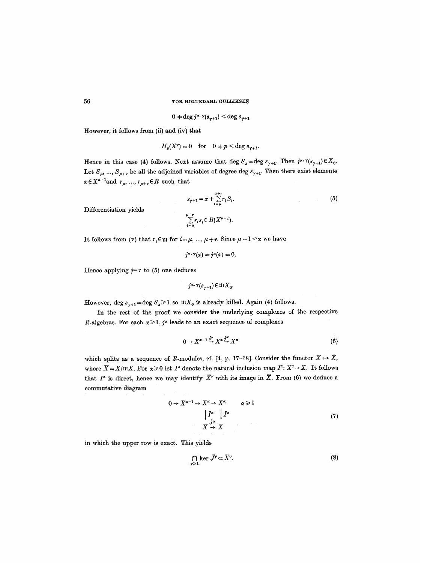$$
0+\deg j^{\alpha}\cdotp\gamma(s_{\gamma+1})<\deg s_{\gamma+1}.
$$

However, it follows from (ii) and (iv) that

$$
H_p(X^{\gamma}) = 0 \quad \text{for} \quad 0 \neq p < \text{deg } s_{\gamma+1}.
$$

Hence in this case (4) follows. Next assume that deg  $S_{\alpha} = \deg s_{\gamma+1}$ . Then  $j^{\alpha} \cdot \gamma(s_{\gamma+1}) \in X_0$ . Let  $S_{\mu}$ , ...,  $S_{\mu+\nu}$  be all the adjoined variables of degree deg  $s_{\gamma+1}$ . Then there exist elements  $x \in X^{\mu-1}$  and  $r_{\mu}, ..., r_{\mu+\nu} \in R$  such that

$$
s_{\gamma+1} = x + \sum_{i=\mu}^{\mu+\nu} r_i S_i.
$$
  

$$
\sum_{i=\mu}^{\mu+\nu} r_i s_i \in B(X^{\mu-1}).
$$
 (5)

Differentiation yields

It follows from (v) that 
$$
r_i \in \mathfrak{m}
$$
 for  $i = \mu, ..., \mu + \nu$ . Since  $\mu - 1 < \alpha$  we have

$$
j^{\alpha}\!\cdot\!\gamma(x)=j^{\alpha}(x)=0.
$$

Hence applying  $j^{\alpha}$  r to (5) one deduces

$$
j^{\alpha,\,\gamma}(s_{\gamma+1})\,{\in}\, \mathfrak{m} X_0.
$$

However, deg  $s_{\gamma+1} = \deg S_{\alpha} \ge 1$  so  $mX_0$  is already killed. Again (4) follows.

In the rest of the proof we consider the underlying complexes of the respective R-algebras. For each  $\alpha \geq 1$ , j<sup> $\alpha$ </sup> leads to an exact sequence of complexes

$$
0 \to X^{\alpha-1} \stackrel{i^{\alpha}}{\to} X^{\alpha} \stackrel{j^{\alpha}}{\to} X^{\alpha} \tag{6}
$$

which splits as a sequence of R-modules, cf. [4, p. 17-18]. Consider the functor  $X \mapsto \overline{X}$ , where  $\overline{X} = X/\mathfrak{m}X$ . For  $\alpha \geq 0$  let  $I^{\alpha}$  denote the natural inclusion map  $I^{\alpha}: X^{\alpha} \rightarrow X$ . It follows that  $I^*$  is direct, hence we may identify  $\overline{X}^*$  with its image in  $\overline{X}$ . From (6) we deduce a commutative diagram

$$
0 \to \overline{X}^{\alpha-1} \to \overline{X}^{\alpha} \to \overline{X}^{\alpha} \qquad \alpha \geq 1
$$
  
\n
$$
\downarrow I^{\alpha} \qquad \downarrow I^{\alpha}
$$
  
\n
$$
\overline{X} \stackrel{j\alpha}{\to} \overline{X} \qquad (7)
$$

in which the upper row is exact. This yields

$$
\bigcap_{\gamma \geq 1} \ker \bar{J}^{\gamma} \subset \overline{X}^{0}.
$$
 (8)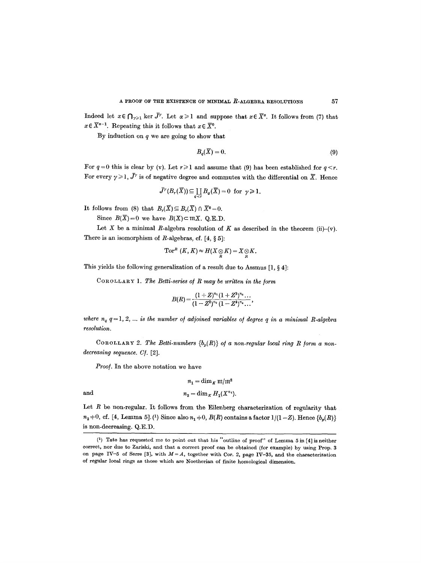Indeed let  $x \in \bigcap_{\gamma \geq 1}$  ker  $\bar{J}^{\gamma}$ . Let  $\alpha \geq 1$  and suppose that  $x \in \bar{X}^{\alpha}$ . It follows from (7) that  $x \in \overline{X}^{k-1}$ . Repeating this it follows that  $x \in \overline{X}^{0}$ .

By induction on  $q$  we are going to show that

$$
B_q(\overline{X}) = 0. \tag{9}
$$

For  $q=0$  this is clear by (v). Let  $r\geq 1$  and assume that (9) has been established for  $q\leq r$ . For every  $\gamma \geq 1$ ,  $\bar{J}^{\gamma}$  is of negative degree and commutes with the differential on  $\bar{X}$ . Hence

$$
\bar{J}^{\gamma}(B_r(\overline{X})) \subseteq \coprod_{q \le r} B_q(\overline{X}) = 0 \text{ for } \gamma \ge 1.
$$

It follows from (8) that  $B_r(\overline{X}) \subseteq B_r(\overline{X})\cap \overline{X}^0=0$ .

Since  $B(\overline{X})=0$  we have  $B(X) \subset \mathfrak{m}X$ . Q.E.D.

Let X be a minimal R-algebra resolution of K as described in the theorem (ii)-(v). There is an isomorphism of  $R$ -algebras, cf.  $[4, § 5]$ :

$$
\mathrm{Tor}^{R} \ (K,K)\! \approx\! H(X\!\otimes\! K)\! =\! X\! \otimes\! K.
$$

This yields the following generalization of a result due to Assmus  $[1, § 4]$ :

COROLLARY 1. *The Betti-series o/R may be written in the [orm* 

$$
B(R) = \frac{(1+Z)^{n_1}(1+Z^3)^{n_2}\dots}{(1-Z^2)^{n_2}(1-Z^4)^{n_4}\dots},
$$

*where*  $n_q$   $q = 1, 2, \ldots$  *is the number of adjoined variables of degree q in a minimal R-algebra resolution.* 

COROLLARY 2. The Betti-numbers  ${b_p(R)}$  of a non-regular local ring R form a non*decreasing sequence. C/.* [2].

*Proof.* In the above notation we have

$$
n_1 = \dim_K \mathfrak{m}/\mathfrak{m}^2
$$
 and 
$$
n_2 = \dim_K H_1(X^{n_1}).
$$

Let  $R$  be non-regular. It follows from the Eilenberg characterization of regularity that  $n_2 \neq 0$ , cf. [4, Lemma 5]. (1) Since also  $n_1 \neq 0$ ,  $B(R)$  contains a factor  $1/(1 - Z)$ . Hence  $\{b_p(R)\}$ is non-decreasing. Q.E.D.

 $(1)$  Tate has requested me to point out that his "outline of proof" of Lemma 5 in [4] is neither correct, nor due to Zariski, and that a correct proof can be obtained (for example) by using Prop. 3 on page IV-5 of Serre [3], with  $M = A$ , together with Cor. 2, page IV-35, and the characterization of regular local rings as those which are Noetherian of finite homological dimension.